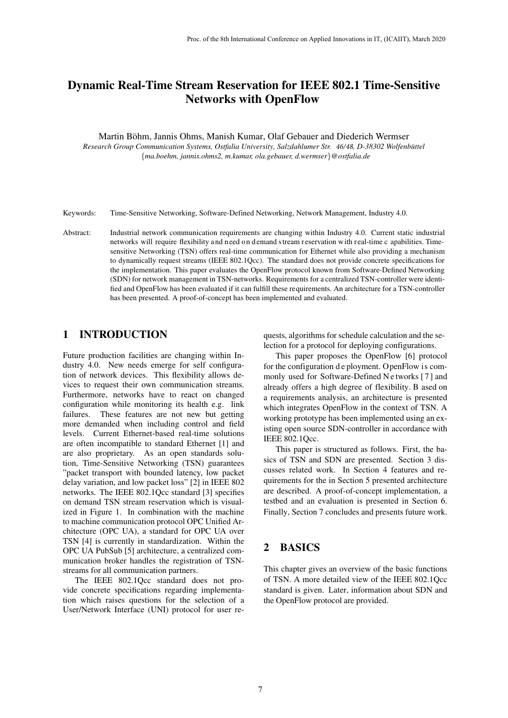# Dynamic Real-Time Stream Reservation for IEEE 802.1 Time-Sensitive Networks with OpenFlow

Martin Böhm, Jannis Ohms, Manish Kumar, Olaf Gebauer and Diederich Wermser

*Research Group Communication Systems, Ostfalia University, Salzdahlumer Str. 46/48, D-38302 Wolfenb¨uttel* {*ma.boehm, jannis.ohms2, m.kumar, ola.gebauer, d.wermser*}*@ostfalia.de*

Keywords: Time-Sensitive Networking, Software-Defined Networking, Network Management, Industry 4.0.

Abstract: Industrial network communication requirements are changing within Industry 4.0. Current static industrial networks will require flexibility and n eed on demand stream r eservation with r eal-time c apabilities. Timesensitive Networking (TSN) offers real-time communication for Ethernet while also providing a mechanism to dynamically request streams (IEEE 802.1Qcc). The standard does not provide concrete specifications for the implementation. This paper evaluates the OpenFlow protocol known from Software-Defined Networking (SDN) for network management in TSN-networks. Requirements for a centralized TSN-controller were identified and OpenFlow has been evaluated if it can fulfill these requirements. An architecture for a TSN-controller has been presented. A proof-of-concept has been implemented and evaluated.

# 1 INTRODUCTION

Future production facilities are changing within Industry 4.0. New needs emerge for self configuration of network devices. This flexibility allows devices to request their own communication streams. Furthermore, networks have to react on changed configuration while monitoring its health e.g. link failures. These features are not new but getting more demanded when including control and field levels. Current Ethernet-based real-time solutions are often incompatible to standard Ethernet [1] and are also proprietary. As an open standards solution, Time-Sensitive Networking (TSN) guarantees "packet transport with bounded latency, low packet delay variation, and low packet loss" [2] in IEEE 802 networks. The IEEE 802.1Qcc standard [3] specifies on demand TSN stream reservation which is visualized in Figure 1. In combination with the machine to machine communication protocol OPC Unified Architecture (OPC UA), a standard for OPC UA over TSN [4] is currently in standardization. Within the OPC UA PubSub [5] architecture, a centralized communication broker handles the registration of TSNstreams for all communication partners.

The IEEE 802.1Qcc standard does not provide concrete specifications regarding implementation which raises questions for the selection of a User/Network Interface (UNI) protocol for user requests, algorithms for schedule calculation and the selection for a protocol for deploying configurations.

This paper proposes the OpenFlow [6] protocol for the configuration d e ployment. OpenFlow is commonly used for Software-Defined N e tworks [ 7 ] and already offers a high degree of flexibility. B ased on a requirements analysis, an architecture is presented which integrates OpenFlow in the context of TSN. A working prototype has been implemented using an existing open source SDN-controller in accordance with IEEE 802.1Qcc.

This paper is structured as follows. First, the basics of TSN and SDN are presented. Section 3 discusses related work. In Section 4 features and requirements for the in Section 5 presented architecture are described. A proof-of-concept implementation, a testbed and an evaluation is presented in Section 6. Finally, Section 7 concludes and presents future work.

# 2 BASICS

This chapter gives an overview of the basic functions of TSN. A more detailed view of the IEEE 802.1Qcc standard is given. Later, information about SDN and the OpenFlow protocol are provided.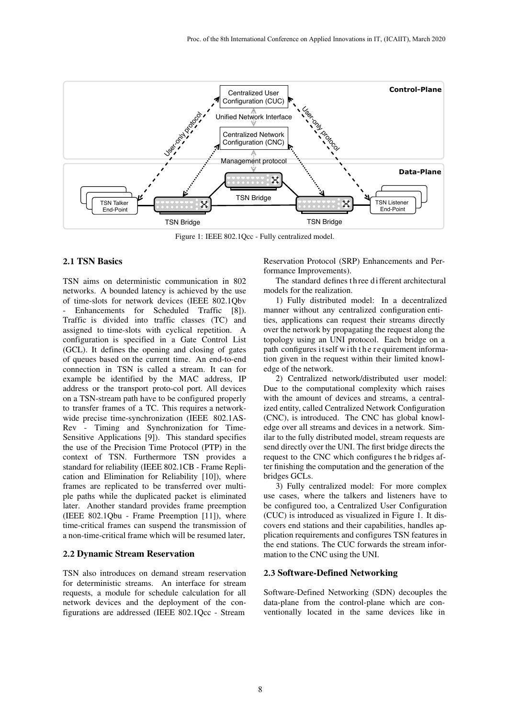

Figure 1: IEEE 802.1Qcc - Fully centralized model.

#### **2.1** TSN Basics

TSN aims on deterministic communication in 802 networks. A bounded latency is achieved by the use of time-slots for network devices (IEEE 802.1Qbv Enhancements for Scheduled Traffic [8]). Traffic is divided into traffic classes (TC) and assigned to time-slots with cyclical repetition. A configuration is specified in a Gate Control List (GCL). It defines the opening and closing of gates of queues based on the current time. An end-to-end connection in TSN is called a stream. It can for example be identified by the MAC address, IP address or the transport proto-col port. All devices on a TSN-stream path have to be configured properly to transfer frames of a TC. This requires a networkwide precise time-synchronization (IEEE 802.1AS-Rev - Timing and Synchronization for Time-Sensitive Applications [9]). This standard specifies the use of the Precision Time Protocol (PTP) in the context of TSN. Furthermore TSN provides a standard for reliability (IEEE 802.1CB - Frame Replication and Elimination for Reliability [10]), where frames are replicated to be transferred over multiple paths while the duplicated packet is eliminated later. Another standard provides frame preemption (IEEE 802.1Qbu - Frame Preemption [11]), where time-critical frames can suspend the transmission of a non-time-critical frame which will be resumed later.

#### **2.2** Dynamic Stream Reservation

TSN also introduces on demand stream reservation for deterministic streams. An interface for stream requests, a module for schedule calculation for all network devices and the deployment of the configurations are addressed (IEEE 802.1Qcc - Stream

Reservation Protocol (SRP) Enhancements and Performance Improvements).

The standard defines th ree di fferent architectural models for the realization.

1) Fully distributed model: In a decentralized manner without any centralized configuration entities, applications can request their streams directly over the network by propagating the request along the topology using an UNI protocol. Each bridge on a path configures it self with the requirement information given in the request within their limited knowledge of the network.

2) Centralized network/distributed user model: Due to the computational complexity which raises with the amount of devices and streams, a centralized entity, called Centralized Network Configuration (CNC), is introduced. The CNC has global knowledge over all streams and devices in a network. Similar to the fully distributed model, stream requests are send directly over the UNI. The first bridge directs the request to the CNC which configures t he b ridges after finishing the computation and the generation of the bridges GCLs.

3) Fully centralized model: For more complex use cases, where the talkers and listeners have to be configured too, a Centralized User Configuration (CUC) is introduced as visualized in Figure 1. It discovers end stations and their capabilities, handles application requirements and configures TSN features in the end stations. The CUC forwards the stream information to the CNC using the UNI.

### **2.3** Software-Defined Networking

Software-Defined Networking (SDN) decouples the data-plane from the control-plane which are conventionally located in the same devices like in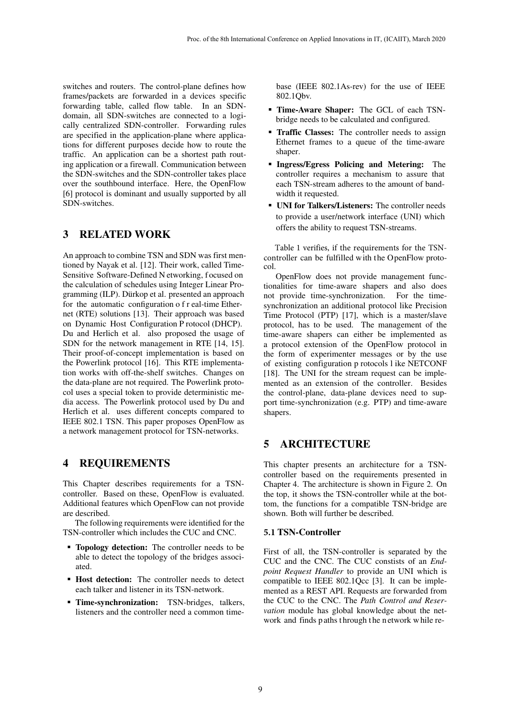switches and routers. The control-plane defines how frames/packets are forwarded in a devices specific forwarding table, called flow table. In an SDNdomain, all SDN-switches are connected to a logically centralized SDN-controller. Forwarding rules are specified in the application-plane where applications for different purposes decide how to route the traffic. An application can be a shortest path routing application or a firewall. Communication between the SDN-switches and the SDN-controller takes place over the southbound interface. Here, the OpenFlow [6] protocol is dominant and usually supported by all SDN-switches.

# 3 RELATED WORK

An approach to combine TSN and SDN was first mentioned by Nayak et al. [12]. Their work, called Time-Sensitive Software-Defined N etworking, f ocused on the calculation of schedules using Integer Linear Programming (ILP). Dürkop et al. presented an approach for the automatic configuration o f r eal-time Ethernet (RTE) solutions [13]. Their approach was based on Dynamic Host Configuration P rotocol (DHCP). Du and Herlich et al. also proposed the usage of SDN for the network management in RTE [14, 15]. Their proof-of-concept implementation is based on the Powerlink protocol [16]. This RTE implementation works with off-the-shelf switches. Changes on the data-plane are not required. The Powerlink protocol uses a special token to provide deterministic media access. The Powerlink protocol used by Du and Herlich et al. uses different concepts compared to IEEE 802.1 TSN. This paper proposes OpenFlow as a network management protocol for TSN-networks.

### 4 REQUIREMENTS

This Chapter describes requirements for a TSNcontroller. Based on these, OpenFlow is evaluated. Additional features which OpenFlow can not provide are described.

The following requirements were identified for the TSN-controller which includes the CUC and CNC.

- **Topology detection:** The controller needs to be able to detect the topology of the bridges associated.
- **Host detection:** The controller needs to detect each talker and listener in its TSN-network.
- **Time-synchronization:** TSN-bridges, talkers, listeners and the controller need a common time-

base (IEEE 802.1As-rev) for the use of IEEE 802.1Qbv.

- **Time-Aware Shaper:** The GCL of each TSNbridge needs to be calculated and configured.
- **Traffic Classes:** The controller needs to assign Ethernet frames to a queue of the time-aware shaper.
- **Ingress/Egress Policing and Metering:** The controller requires a mechanism to assure that each TSN-stream adheres to the amount of bandwidth it requested.
- UNI for Talkers/Listeners: The controller needs to provide a user/network interface (UNI) which offers the ability to request TSN-streams.

Table 1 verifies, if the requirements for the TSNcontroller can be fulfilled with the OpenFlow protocol.

OpenFlow does not provide management functionalities for time-aware shapers and also does not provide time-synchronization. For the timesynchronization an additional protocol like Precision Time Protocol (PTP) [17], which is a master/slave protocol, has to be used. The management of the time-aware shapers can either be implemented as a protocol extension of the OpenFlow protocol in the form of experimenter messages or by the use of existing configuration p rotocols l ike NETCONF [18]. The UNI for the stream request can be implemented as an extension of the controller. Besides the control-plane, data-plane devices need to support time-synchronization (e.g. PTP) and time-aware shapers.

# 5 ARCHITECTURE

This chapter presents an architecture for a TSNcontroller based on the requirements presented in Chapter 4. The architecture is shown in Figure 2. On the top, it shows the TSN-controller while at the bottom, the functions for a compatible TSN-bridge are shown. Both will further be described.

#### **5.1** TSN-Controller

First of all, the TSN-controller is separated by the CUC and the CNC. The CUC constists of an *Endpoint Request Handler* to provide an UNI which is compatible to IEEE 802.1Qcc [3]. It can be implemented as a REST API. Requests are forwarded from the CUC to the CNC. The *Path Control and Reservation* module has global knowledge about the network and finds paths through the network while re-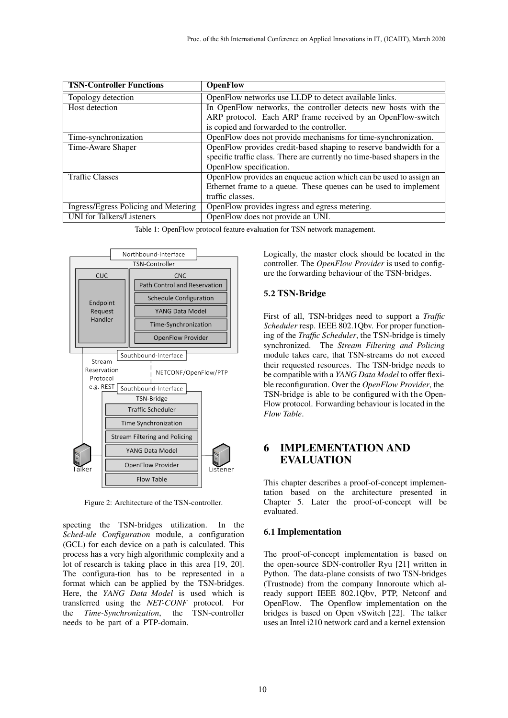| <b>TSN-Controller Functions</b>      | <b>OpenFlow</b>                                                          |
|--------------------------------------|--------------------------------------------------------------------------|
| Topology detection                   | OpenFlow networks use LLDP to detect available links.                    |
| Host detection                       | In OpenFlow networks, the controller detects new hosts with the          |
|                                      | ARP protocol. Each ARP frame received by an OpenFlow-switch              |
|                                      | is copied and forwarded to the controller.                               |
| Time-synchronization                 | OpenFlow does not provide mechanisms for time-synchronization.           |
| Time-Aware Shaper                    | OpenFlow provides credit-based shaping to reserve bandwidth for a        |
|                                      | specific traffic class. There are currently no time-based shapers in the |
|                                      | OpenFlow specification.                                                  |
| <b>Traffic Classes</b>               | OpenFlow provides an enqueue action which can be used to assign an       |
|                                      | Ethernet frame to a queue. These queues can be used to implement         |
|                                      | traffic classes.                                                         |
| Ingress/Egress Policing and Metering | OpenFlow provides ingress and egress metering.                           |
| <b>UNI</b> for Talkers/Listeners     | OpenFlow does not provide an UNI.                                        |

Table 1: OpenFlow protocol feature evaluation for TSN network management.



Figure 2: Architecture of the TSN-controller.

specting the TSN-bridges utilization. In the *Sched-ule Configuration* module, a configuration (GCL) for each device on a path is calculated. This process has a very high algorithmic complexity and a lot of research is taking place in this area [19, 20]. The configura-tion has to be represented in a format which can be applied by the TSN-bridges. Here, the *YANG Data Model* is used which is transferred using the *NET-CONF* protocol. For the *Time-Synchronization*, the TSN-controller needs to be part of a PTP-domain.

Logically, the master clock should be located in the controller. The *OpenFlow Provider* is used to configure the forwarding behaviour of the TSN-bridges.

#### **5.2** TSN-Bridge

First of all, TSN-bridges need to support a *Traffic Scheduler* resp. IEEE 802.1Qbv. For proper functioning of the *Traffic Scheduler*, the TSN-bridge is timely synchronized. The *Stream Filtering and Policing* module takes care, that TSN-streams do not exceed their requested resources. The TSN-bridge needs to be compatible with a *YANG Data Model* to offer flexible reconfiguration. Over the *OpenFlow Provider*, the TSN-bridge is able to be configured with the Open-Flow protocol. Forwarding behaviour is located in the *Flow Table*.

# 6 IMPLEMENTATION AND EVALUATION

This chapter describes a proof-of-concept implementation based on the architecture presented in Chapter 5. Later the proof-of-concept will be evaluated.

#### **6.1** Implementation

The proof-of-concept implementation is based on the open-source SDN-controller Ryu [21] written in Python. The data-plane consists of two TSN-bridges (Trustnode) from the company Innoroute which already support IEEE 802.1Qbv, PTP, Netconf and OpenFlow. The Openflow implementation on the bridges is based on Open vSwitch [22]. The talker uses an Intel i210 network card and a kernel extension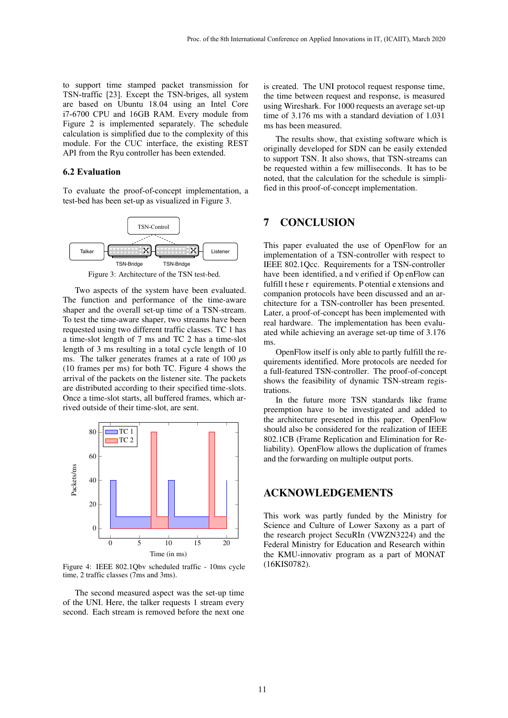to support time stamped packet transmission for TSN-traffic [23]. Except the TSN-briges, all system are based on Ubuntu 18.04 using an Intel Core i7-6700 CPU and 16GB RAM. Every module from Figure 2 is implemented separately. The schedule calculation is simplified due to the complexity of this module. For the CUC interface, the existing REST API from the Ryu controller has been extended.

#### **6.2 Evaluation**

To evaluate the proof-of-concept implementation, a test-bed has been set-up as visualized in Figure 3.



Figure 3: Architecture of the TSN test-bed.

Two aspects of the system have been evaluated. The function and performance of the time-aware shaper and the overall set-up time of a TSN-stream. To test the time-aware shaper, two streams have been requested using two different traffic classes. TC 1 has a time-slot length of 7 ms and TC 2 has a time-slot length of 3 ms resulting in a total cycle length of 10 ms. The talker generates frames at a rate of 100 *µ*s (10 frames per ms) for both TC. Figure 4 shows the arrival of the packets on the listener site. The packets are distributed according to their specified time-slots. Once a time-slot starts, all buffered frames, which arrived outside of their time-slot, are sent.



Figure 4: IEEE 802.1Qbv scheduled traffic - 10ms cycle time, 2 traffic classes (7ms and 3ms).

The second measured aspect was the set-up time of the UNI. Here, the talker requests 1 stream every second. Each stream is removed before the next one is created. The UNI protocol request response time, the time between request and response, is measured using Wireshark. For 1000 requests an average set-up time of 3.176 ms with a standard deviation of 1.031 ms has been measured.

The results show, that existing software which is originally developed for SDN can be easily extended to support TSN. It also shows, that TSN-streams can be requested within a few milliseconds. It has to be noted, that the calculation for the schedule is simplified in this proof-of-concept implementation.

### 7 CONCLUSION

This paper evaluated the use of OpenFlow for an implementation of a TSN-controller with respect to IEEE 802.1Qcc. Requirements for a TSN-controller have been identified, a nd v erified if Op enFlow can fulfill t hese r equirements. P otential e xtensions and companion protocols have been discussed and an architecture for a TSN-controller has been presented. Later, a proof-of-concept has been implemented with real hardware. The implementation has been evaluated while achieving an average set-up time of 3.176 ms.

OpenFlow itself is only able to partly fulfill the requirements identified. More protocols are needed for a full-featured TSN-controller. The proof-of-concept shows the feasibility of dynamic TSN-stream registrations.

In the future more TSN standards like frame preemption have to be investigated and added to the architecture presented in this paper. OpenFlow should also be considered for the realization of IEEE 802.1CB (Frame Replication and Elimination for Reliability). OpenFlow allows the duplication of frames and the forwarding on multiple output ports.

### ACKNOWLEDGEMENTS

This work was partly funded by the Ministry for Science and Culture of Lower Saxony as a part of the research project SecuRIn (VWZN3224) and the Federal Ministry for Education and Research within the KMU-innovativ program as a part of MONAT (16KIS0782).